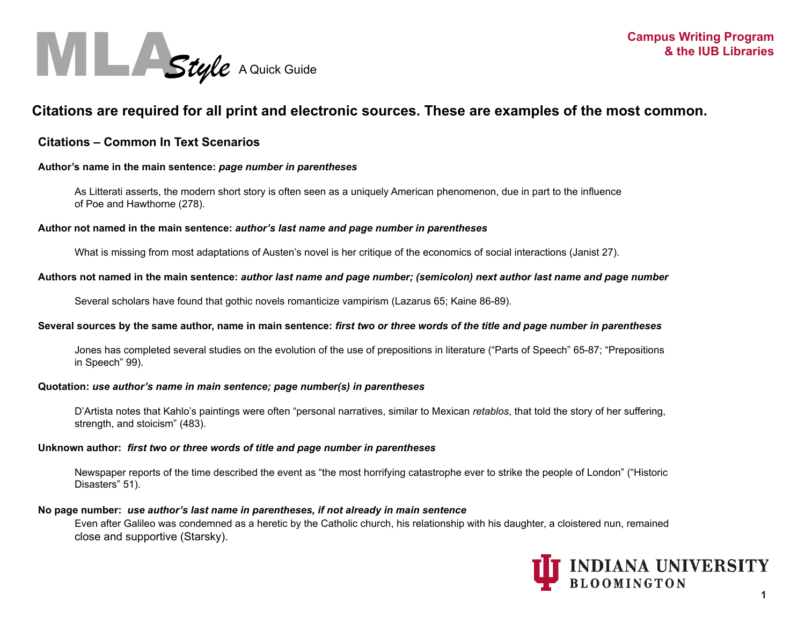

# **Citations are required for all print and electronic sources. These are examples of the most common.**

# **Citations – Common In Text Scenarios**

# **Author's name in the main sentence:** *page number in parentheses*

 As Litterati asserts, the modern short story is often seen as a uniquely American phenomenon, due in part to the influence of Poe and Hawthorne (278).

## **Author not named in the main sentence:** *author's last name and page number in parentheses*

What is missing from most adaptations of Austen's novel is her critique of the economics of social interactions (Janist 27).

## **Authors not named in the main sentence:** *author last name and page number; (semicolon) next author last name and page number*

Several scholars have found that gothic novels romanticize vampirism (Lazarus 65; Kaine 86-89).

## **Several sources by the same author, name in main sentence:** *first two or three words of the title and page number in parentheses*

Jones has completed several studies on the evolution of the use of prepositions in literature ("Parts of Speech" 65-87; "Prepositions in Speech" 99).

## **Quotation:** *use author's name in main sentence; page number(s) in parentheses*

D'Artista notes that Kahlo's paintings were often "personal narratives, similar to Mexican *retablos*, that told the story of her suffering, strength, and stoicism" (483).

## **Unknown author:** *first two or three words of title and page number in parentheses*

Newspaper reports of the time described the event as "the most horrifying catastrophe ever to strike the people of London" ("Historic Disasters" 51).

# **No page number:** *use author's last name in parentheses, if not already in main sentence*

Even after Galileo was condemned as a heretic by the Catholic church, his relationship with his daughter, a cloistered nun, remained close and supportive (Starsky).

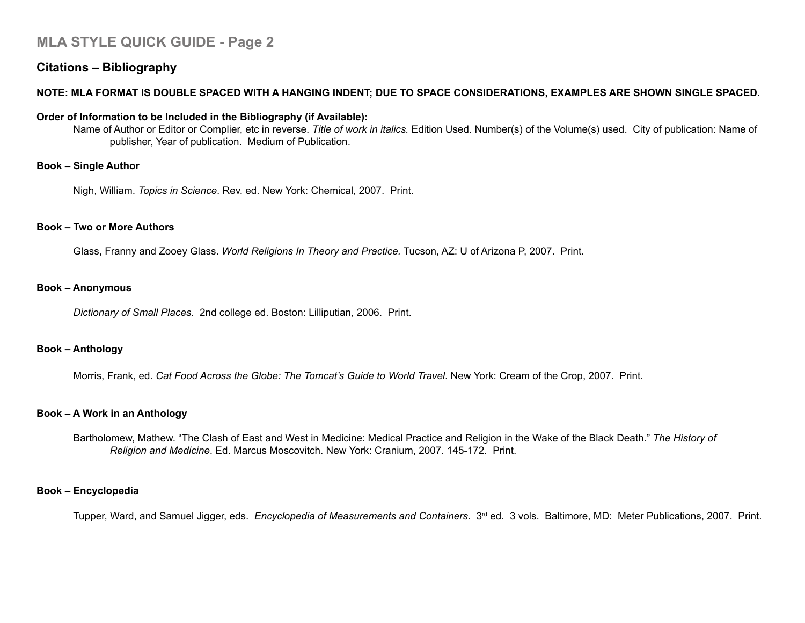# **MLA STYLE QUICK GUIDE - Page 2**

# **Citations – Bibliography**

# **NOTE: MLA FORMAT IS DOUBLE SPACED WITH A HANGING INDENT; DUE TO SPACE CONSIDERATIONS, EXAMPLES ARE SHOWN SINGLE SPACED.**

# **Order of Information to be Included in the Bibliography (if Available):**

Name of Author or Editor or Complier, etc in reverse. *Title of work in italics.* Edition Used. Number(s) of the Volume(s) used. City of publication: Name of publisher, Year of publication. Medium of Publication.

## **Book – Single Author**

Nigh, William. *Topics in Science*. Rev. ed. New York: Chemical, 2007. Print.

### **Book – Two or More Authors**

Glass, Franny and Zooey Glass. *World Religions In Theory and Practice.* Tucson, AZ: U of Arizona P, 2007. Print.

#### **Book – Anonymous**

*Dictionary of Small Places*. 2nd college ed. Boston: Lilliputian, 2006. Print.

## **Book – Anthology**

Morris, Frank, ed. *Cat Food Across the Globe: The Tomcat's Guide to World Travel*. New York: Cream of the Crop, 2007. Print.

## **Book – A Work in an Anthology**

 Bartholomew, Mathew. "The Clash of East and West in Medicine: Medical Practice and Religion in the Wake of the Black Death." *The History of Religion and Medicine*. Ed. Marcus Moscovitch. New York: Cranium, 2007. 145-172. Print.

# **Book – Encyclopedia**

Tupper, Ward, and Samuel Jigger, eds. *Encyclopedia of Measurements and Containers*. 3rd ed. 3 vols. Baltimore, MD: Meter Publications, 2007. Print.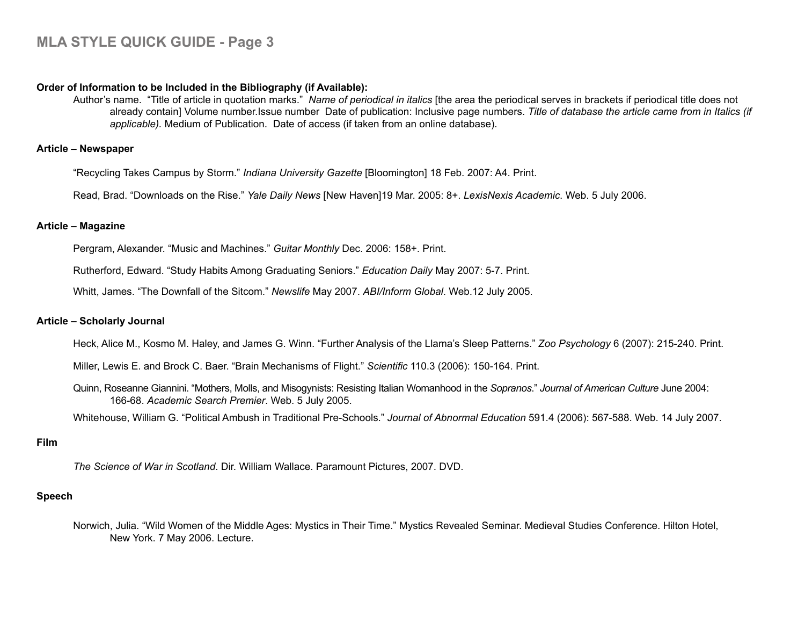# **Order of Information to be Included in the Bibliography (if Available):**

Author's name. "Title of article in quotation marks." *Name of periodical in italics* [the area the periodical serves in brackets if periodical title does not already contain] Volume number.Issue number Date of publication: Inclusive page numbers. *Title of database the article came from in Italics (if applicable).* Medium of Publication. Date of access (if taken from an online database).

## **Article – Newspaper**

"Recycling Takes Campus by Storm." *Indiana University Gazette* [Bloomington] 18 Feb. 2007: A4. Print.

Read, Brad. "Downloads on the Rise." *Yale Daily News* [New Haven]19 Mar. 2005: 8+. *LexisNexis Academic*. Web. 5 July 2006.

# **Article – Magazine**

Pergram, Alexander. "Music and Machines." *Guitar Monthly* Dec. 2006: 158+. Print.

Rutherford, Edward. "Study Habits Among Graduating Seniors." *Education Daily* May 2007: 5-7. Print.

Whitt, James. "The Downfall of the Sitcom." *Newslife* May 2007. *ABI/Inform Global*. Web.12 July 2005.

# **Article – Scholarly Journal**

Heck, Alice M., Kosmo M. Haley, and James G. Winn. "Further Analysis of the Llama's Sleep Patterns." *Zoo Psychology* 6 (2007): 215-240. Print.

Miller, Lewis E. and Brock C. Baer. "Brain Mechanisms of Flight." *Scientific* 110.3 (2006): 150-164. Print.

Quinn, Roseanne Giannini. "Mothers, Molls, and Misogynists: Resisting Italian Womanhood in the *Sopranos*." *Journal of American Culture* June 2004: 166-68. *Academic Search Premier*. Web. 5 July 2005.

Whitehouse, William G. "Political Ambush in Traditional Pre-Schools." *Journal of Abnormal Education* 591.4 (2006): 567-588. Web. 14 July 2007.

# **Film**

*The Science of War in Scotland*. Dir. William Wallace. Paramount Pictures, 2007. DVD.

# **Speech**

Norwich, Julia. "Wild Women of the Middle Ages: Mystics in Their Time." Mystics Revealed Seminar. Medieval Studies Conference. Hilton Hotel, New York. 7 May 2006. Lecture.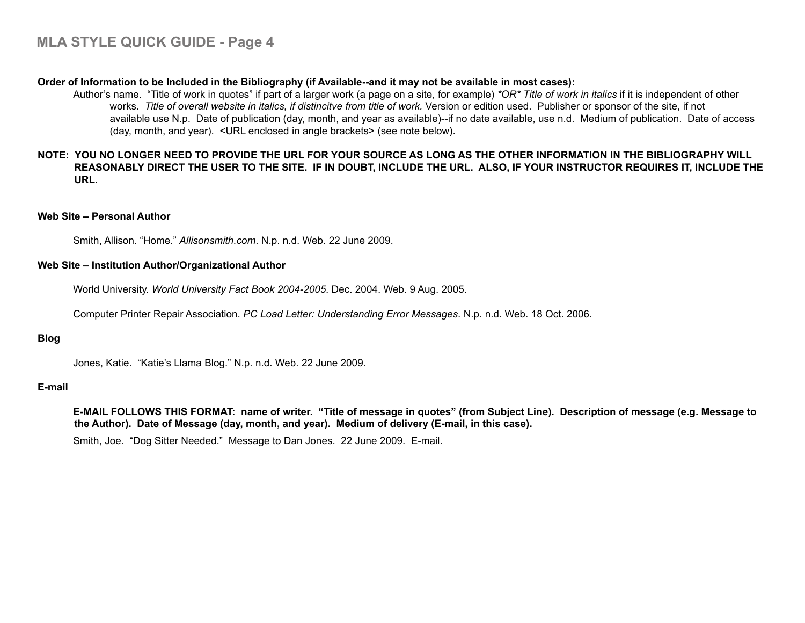## **Order of Information to be Included in the Bibliography (if Available--and it may not be available in most cases):**

Author's name. "Title of work in quotes" if part of a larger work (a page on a site, for example) *\*OR\* Title of work in italics* if it is independent of other works. Title of overall website in italics, if distincitve from title of work. Version or edition used. Publisher or sponsor of the site, if not available use N.p. Date of publication (day, month, and year as available)--if no date available, use n.d. Medium of publication. Date of access (day, month, and year). <URL enclosed in angle brackets> (see note below).

# **NOTE: YOU NO LONGER NEED TO PROVIDE THE URL FOR YOUR SOURCE AS LONG AS THE OTHER INFORMATION IN THE BIBLIOGRAPHY WILL REASONABLY DIRECT THE USER TO THE SITE. IF IN DOUBT, INCLUDE THE URL. ALSO, IF YOUR INSTRUCTOR REQUIRES IT, INCLUDE THE URL.**

## **Web Site – Personal Author**

Smith, Allison. "Home." *Allisonsmith.com*. N.p. n.d. Web. 22 June 2009.

#### **Web Site – Institution Author/Organizational Author**

World University. *World University Fact Book 2004-2005*. Dec. 2004. Web. 9 Aug. 2005.

Computer Printer Repair Association. *PC Load Letter: Understanding Error Messages*. N.p. n.d. Web. 18 Oct. 2006.

# **Blog**

Jones, Katie. "Katie's Llama Blog." N.p. n.d. Web. 22 June 2009.

## **E-mail**

**E-MAIL FOLLOWS THIS FORMAT: name of writer. "Title of message in quotes" (from Subject Line). Description of message (e.g. Message to the Author). Date of Message (day, month, and year). Medium of delivery (E-mail, in this case).**

Smith, Joe. "Dog Sitter Needed." Message to Dan Jones. 22 June 2009. E-mail.